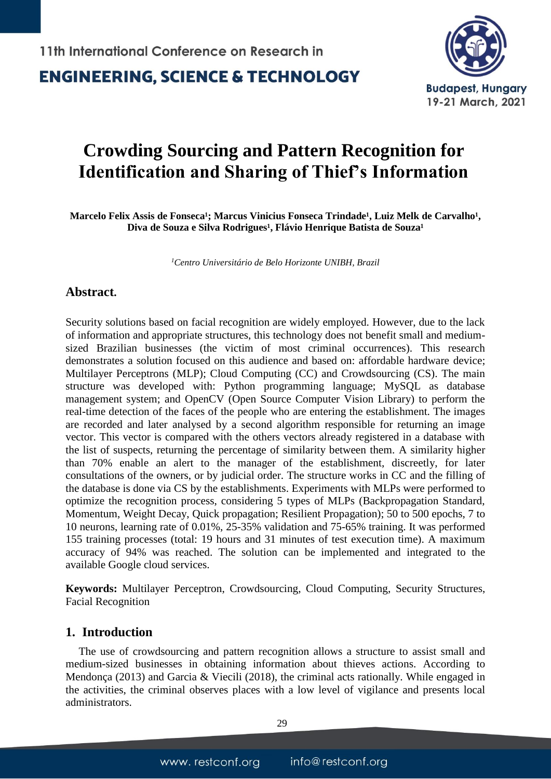### **ENGINEERING, SCIENCE & TECHNOLOGY**



## **Crowding Sourcing and Pattern Recognition for Identification and Sharing of Thief's Information**

Marcelo Felix Assis de Fonseca<sup>1</sup>; Marcus Vinicius Fonseca Trindade<sup>1</sup>, Luiz Melk de Carvalho<sup>1</sup>, Diva de Souza e Silva Rodrigues<sup>1</sup>, Flávio Henrique Batista de Souza<sup>1</sup>

*<sup>1</sup>Centro Universitário de Belo Horizonte UNIBH, Brazil*

### **Abstract.**

Security solutions based on facial recognition are widely employed. However, due to the lack of information and appropriate structures, this technology does not benefit small and mediumsized Brazilian businesses (the victim of most criminal occurrences). This research demonstrates a solution focused on this audience and based on: affordable hardware device; Multilayer Perceptrons (MLP); Cloud Computing (CC) and Crowdsourcing (CS). The main structure was developed with: Python programming language; MySQL as database management system; and OpenCV (Open Source Computer Vision Library) to perform the real-time detection of the faces of the people who are entering the establishment. The images are recorded and later analysed by a second algorithm responsible for returning an image vector. This vector is compared with the others vectors already registered in a database with the list of suspects, returning the percentage of similarity between them. A similarity higher than 70% enable an alert to the manager of the establishment, discreetly, for later consultations of the owners, or by judicial order. The structure works in CC and the filling of the database is done via CS by the establishments. Experiments with MLPs were performed to optimize the recognition process, considering 5 types of MLPs (Backpropagation Standard, Momentum, Weight Decay, Quick propagation; Resilient Propagation); 50 to 500 epochs, 7 to 10 neurons, learning rate of 0.01%, 25-35% validation and 75-65% training. It was performed 155 training processes (total: 19 hours and 31 minutes of test execution time). A maximum accuracy of 94% was reached. The solution can be implemented and integrated to the available Google cloud services.

**Keywords:** Multilayer Perceptron, Crowdsourcing, Cloud Computing, Security Structures, Facial Recognition

#### **1. Introduction**

The use of crowdsourcing and pattern recognition allows a structure to assist small and medium-sized businesses in obtaining information about thieves actions. According to Mendonça (2013) and Garcia & Viecili (2018), the criminal acts rationally. While engaged in the activities, the criminal observes places with a low level of vigilance and presents local administrators.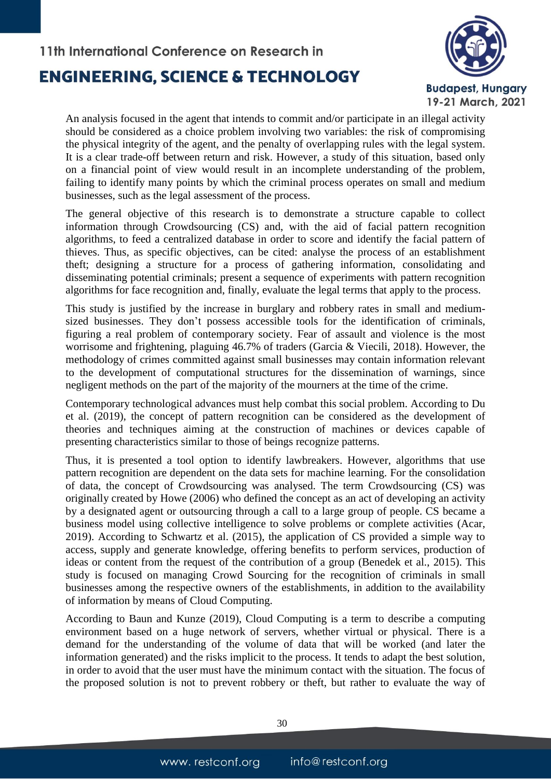

An analysis focused in the agent that intends to commit and/or participate in an illegal activity should be considered as a choice problem involving two variables: the risk of compromising the physical integrity of the agent, and the penalty of overlapping rules with the legal system. It is a clear trade-off between return and risk. However, a study of this situation, based only on a financial point of view would result in an incomplete understanding of the problem, failing to identify many points by which the criminal process operates on small and medium businesses, such as the legal assessment of the process.

The general objective of this research is to demonstrate a structure capable to collect information through Crowdsourcing (CS) and, with the aid of facial pattern recognition algorithms, to feed a centralized database in order to score and identify the facial pattern of thieves. Thus, as specific objectives, can be cited: analyse the process of an establishment theft; designing a structure for a process of gathering information, consolidating and disseminating potential criminals; present a sequence of experiments with pattern recognition algorithms for face recognition and, finally, evaluate the legal terms that apply to the process.

This study is justified by the increase in burglary and robbery rates in small and mediumsized businesses. They don't possess accessible tools for the identification of criminals, figuring a real problem of contemporary society. Fear of assault and violence is the most worrisome and frightening, plaguing 46.7% of traders (Garcia & Viecili, 2018). However, the methodology of crimes committed against small businesses may contain information relevant to the development of computational structures for the dissemination of warnings, since negligent methods on the part of the majority of the mourners at the time of the crime.

Contemporary technological advances must help combat this social problem. According to Du et al. (2019), the concept of pattern recognition can be considered as the development of theories and techniques aiming at the construction of machines or devices capable of presenting characteristics similar to those of beings recognize patterns.

Thus, it is presented a tool option to identify lawbreakers. However, algorithms that use pattern recognition are dependent on the data sets for machine learning. For the consolidation of data, the concept of Crowdsourcing was analysed. The term Crowdsourcing (CS) was originally created by Howe (2006) who defined the concept as an act of developing an activity by a designated agent or outsourcing through a call to a large group of people. CS became a business model using collective intelligence to solve problems or complete activities (Acar, 2019). According to Schwartz et al. (2015), the application of CS provided a simple way to access, supply and generate knowledge, offering benefits to perform services, production of ideas or content from the request of the contribution of a group (Benedek et al., 2015). This study is focused on managing Crowd Sourcing for the recognition of criminals in small businesses among the respective owners of the establishments, in addition to the availability of information by means of Cloud Computing.

According to Baun and Kunze (2019), Cloud Computing is a term to describe a computing environment based on a huge network of servers, whether virtual or physical. There is a demand for the understanding of the volume of data that will be worked (and later the information generated) and the risks implicit to the process. It tends to adapt the best solution, in order to avoid that the user must have the minimum contact with the situation. The focus of the proposed solution is not to prevent robbery or theft, but rather to evaluate the way of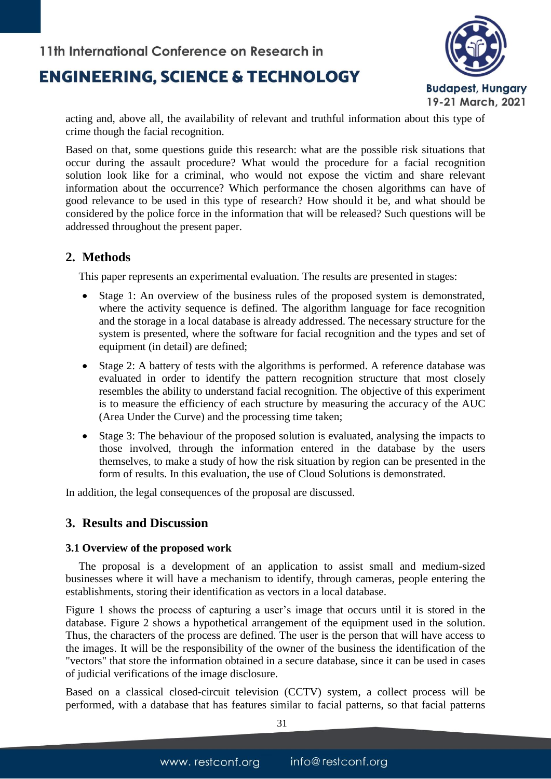

acting and, above all, the availability of relevant and truthful information about this type of crime though the facial recognition.

Based on that, some questions guide this research: what are the possible risk situations that occur during the assault procedure? What would the procedure for a facial recognition solution look like for a criminal, who would not expose the victim and share relevant information about the occurrence? Which performance the chosen algorithms can have of good relevance to be used in this type of research? How should it be, and what should be considered by the police force in the information that will be released? Such questions will be addressed throughout the present paper.

### **2. Methods**

This paper represents an experimental evaluation. The results are presented in stages:

- Stage 1: An overview of the business rules of the proposed system is demonstrated, where the activity sequence is defined. The algorithm language for face recognition and the storage in a local database is already addressed. The necessary structure for the system is presented, where the software for facial recognition and the types and set of equipment (in detail) are defined;
- Stage 2: A battery of tests with the algorithms is performed. A reference database was evaluated in order to identify the pattern recognition structure that most closely resembles the ability to understand facial recognition. The objective of this experiment is to measure the efficiency of each structure by measuring the accuracy of the AUC (Area Under the Curve) and the processing time taken;
- Stage 3: The behaviour of the proposed solution is evaluated, analysing the impacts to those involved, through the information entered in the database by the users themselves, to make a study of how the risk situation by region can be presented in the form of results. In this evaluation, the use of Cloud Solutions is demonstrated.

In addition, the legal consequences of the proposal are discussed.

### **3. Results and Discussion**

#### **3.1 Overview of the proposed work**

The proposal is a development of an application to assist small and medium-sized businesses where it will have a mechanism to identify, through cameras, people entering the establishments, storing their identification as vectors in a local database.

Figure 1 shows the process of capturing a user's image that occurs until it is stored in the database. Figure 2 shows a hypothetical arrangement of the equipment used in the solution. Thus, the characters of the process are defined. The user is the person that will have access to the images. It will be the responsibility of the owner of the business the identification of the "vectors" that store the information obtained in a secure database, since it can be used in cases of judicial verifications of the image disclosure.

Based on a classical closed-circuit television (CCTV) system, a collect process will be performed, with a database that has features similar to facial patterns, so that facial patterns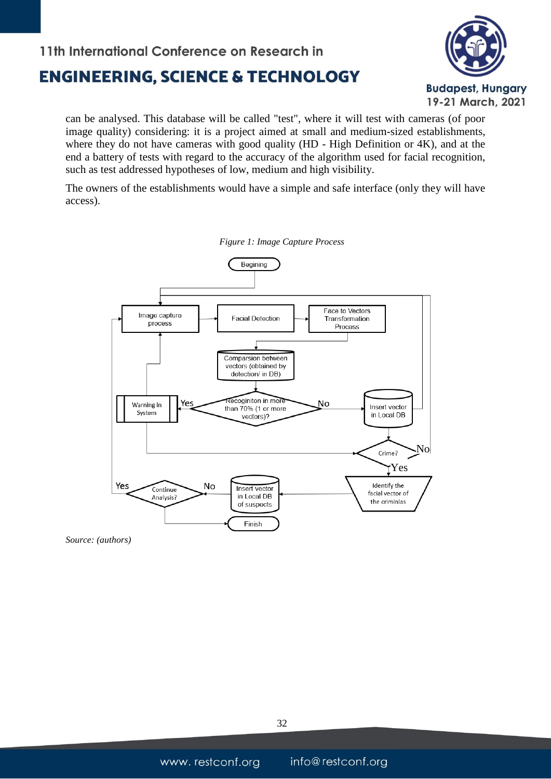## **ENGINEERING, SCIENCE & TECHNOLOGY**



can be analysed. This database will be called "test", where it will test with cameras (of poor image quality) considering: it is a project aimed at small and medium-sized establishments, where they do not have cameras with good quality (HD - High Definition or 4K), and at the end a battery of tests with regard to the accuracy of the algorithm used for facial recognition, such as test addressed hypotheses of low, medium and high visibility.

The owners of the establishments would have a simple and safe interface (only they will have access).



*Figure 1: Image Capture Process*

*Source: (authors)*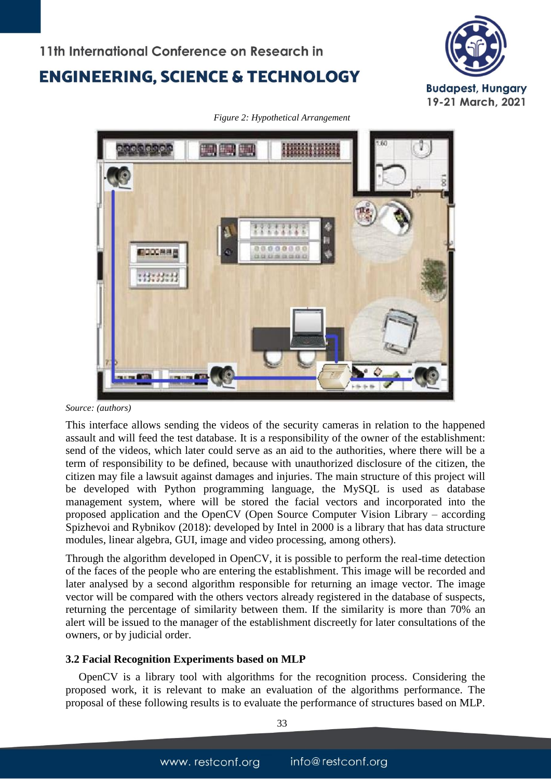



*Figure 2: Hypothetical Arrangement*

This interface allows sending the videos of the security cameras in relation to the happened assault and will feed the test database. It is a responsibility of the owner of the establishment: send of the videos, which later could serve as an aid to the authorities, where there will be a term of responsibility to be defined, because with unauthorized disclosure of the citizen, the citizen may file a lawsuit against damages and injuries. The main structure of this project will be developed with Python programming language, the MySQL is used as database management system, where will be stored the facial vectors and incorporated into the proposed application and the OpenCV (Open Source Computer Vision Library – according Spizhevoi and Rybnikov (2018): developed by Intel in 2000 is a library that has data structure modules, linear algebra, GUI, image and video processing, among others).

Through the algorithm developed in OpenCV, it is possible to perform the real-time detection of the faces of the people who are entering the establishment. This image will be recorded and later analysed by a second algorithm responsible for returning an image vector. The image vector will be compared with the others vectors already registered in the database of suspects, returning the percentage of similarity between them. If the similarity is more than 70% an alert will be issued to the manager of the establishment discreetly for later consultations of the owners, or by judicial order.

#### **3.2 Facial Recognition Experiments based on MLP**

OpenCV is a library tool with algorithms for the recognition process. Considering the proposed work, it is relevant to make an evaluation of the algorithms performance. The proposal of these following results is to evaluate the performance of structures based on MLP.

*Source: (authors)*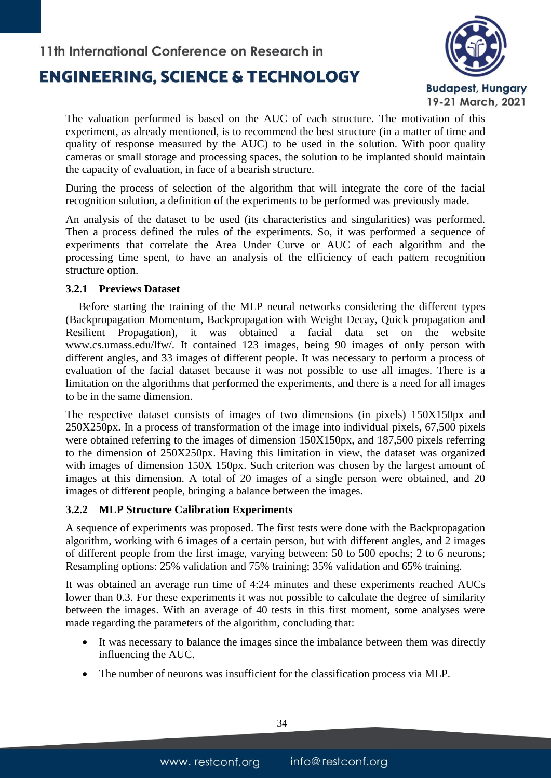## **ENGINEERING, SCIENCE & TECHNOLOGY**



The valuation performed is based on the AUC of each structure. The motivation of this experiment, as already mentioned, is to recommend the best structure (in a matter of time and quality of response measured by the AUC) to be used in the solution. With poor quality cameras or small storage and processing spaces, the solution to be implanted should maintain the capacity of evaluation, in face of a bearish structure.

During the process of selection of the algorithm that will integrate the core of the facial recognition solution, a definition of the experiments to be performed was previously made.

An analysis of the dataset to be used (its characteristics and singularities) was performed. Then a process defined the rules of the experiments. So, it was performed a sequence of experiments that correlate the Area Under Curve or AUC of each algorithm and the processing time spent, to have an analysis of the efficiency of each pattern recognition structure option.

#### **3.2.1 Previews Dataset**

Before starting the training of the MLP neural networks considering the different types (Backpropagation Momentum, Backpropagation with Weight Decay, Quick propagation and Resilient Propagation), it was obtained a facial data set on the website www.cs.umass.edu/lfw/. It contained 123 images, being 90 images of only person with different angles, and 33 images of different people. It was necessary to perform a process of evaluation of the facial dataset because it was not possible to use all images. There is a limitation on the algorithms that performed the experiments, and there is a need for all images to be in the same dimension.

The respective dataset consists of images of two dimensions (in pixels) 150X150px and 250X250px. In a process of transformation of the image into individual pixels, 67,500 pixels were obtained referring to the images of dimension 150X150px, and 187,500 pixels referring to the dimension of 250X250px. Having this limitation in view, the dataset was organized with images of dimension 150X 150px. Such criterion was chosen by the largest amount of images at this dimension. A total of 20 images of a single person were obtained, and 20 images of different people, bringing a balance between the images.

#### **3.2.2 MLP Structure Calibration Experiments**

A sequence of experiments was proposed. The first tests were done with the Backpropagation algorithm, working with 6 images of a certain person, but with different angles, and 2 images of different people from the first image, varying between: 50 to 500 epochs; 2 to 6 neurons; Resampling options: 25% validation and 75% training; 35% validation and 65% training.

It was obtained an average run time of 4:24 minutes and these experiments reached AUCs lower than 0.3. For these experiments it was not possible to calculate the degree of similarity between the images. With an average of 40 tests in this first moment, some analyses were made regarding the parameters of the algorithm, concluding that:

- It was necessary to balance the images since the imbalance between them was directly influencing the AUC.
- The number of neurons was insufficient for the classification process via MLP.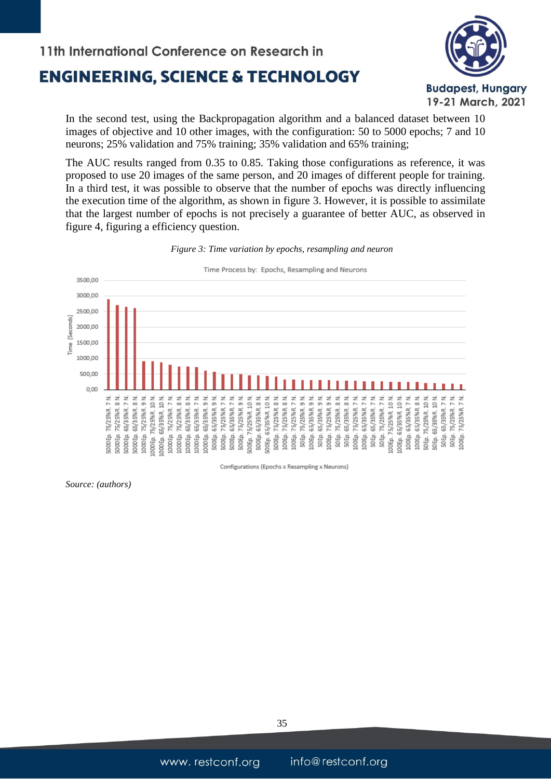

In the second test, using the Backpropagation algorithm and a balanced dataset between 10 images of objective and 10 other images, with the configuration: 50 to 5000 epochs; 7 and 10 neurons; 25% validation and 75% training; 35% validation and 65% training;

The AUC results ranged from 0.35 to 0.85. Taking those configurations as reference, it was proposed to use 20 images of the same person, and 20 images of different people for training. In a third test, it was possible to observe that the number of epochs was directly influencing the execution time of the algorithm, as shown in figure 3. However, it is possible to assimilate that the largest number of epochs is not precisely a guarantee of better AUC, as observed in figure 4, figuring a efficiency question.



*Figure 3: Time variation by epochs, resampling and neuron*

Configurations (Epochs x Resampling x Neurons)

*Source: (authors)*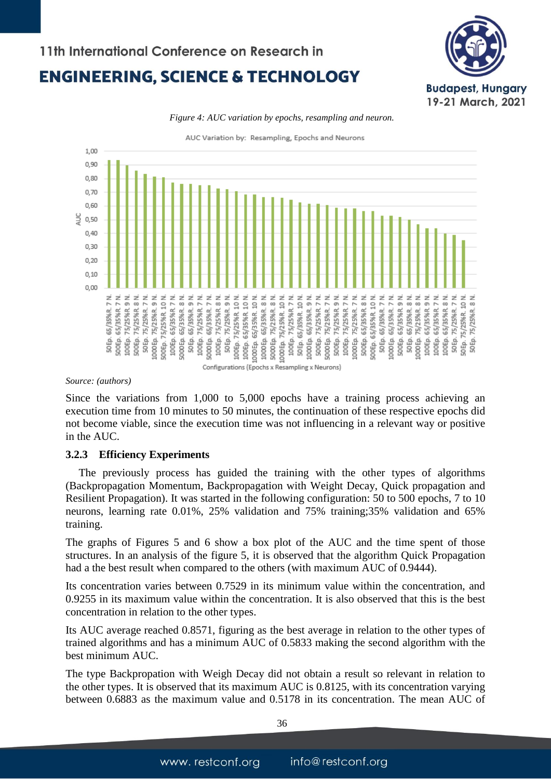

*Figure 4: AUC variation by epochs, resampling and neuron.*

AUC Variation by: Resampling, Epochs and Neurons



*Source: (authors)*

Since the variations from 1,000 to 5,000 epochs have a training process achieving an execution time from 10 minutes to 50 minutes, the continuation of these respective epochs did not become viable, since the execution time was not influencing in a relevant way or positive in the AUC.

#### **3.2.3 Efficiency Experiments**

The previously process has guided the training with the other types of algorithms (Backpropagation Momentum, Backpropagation with Weight Decay, Quick propagation and Resilient Propagation). It was started in the following configuration: 50 to 500 epochs, 7 to 10 neurons, learning rate 0.01%, 25% validation and 75% training;35% validation and 65% training.

The graphs of Figures 5 and 6 show a box plot of the AUC and the time spent of those structures. In an analysis of the figure 5, it is observed that the algorithm Quick Propagation had a the best result when compared to the others (with maximum AUC of 0.9444).

Its concentration varies between 0.7529 in its minimum value within the concentration, and 0.9255 in its maximum value within the concentration. It is also observed that this is the best concentration in relation to the other types.

Its AUC average reached 0.8571, figuring as the best average in relation to the other types of trained algorithms and has a minimum AUC of 0.5833 making the second algorithm with the best minimum AUC.

The type Backpropation with Weigh Decay did not obtain a result so relevant in relation to the other types. It is observed that its maximum AUC is 0.8125, with its concentration varying between 0.6883 as the maximum value and 0.5178 in its concentration. The mean AUC of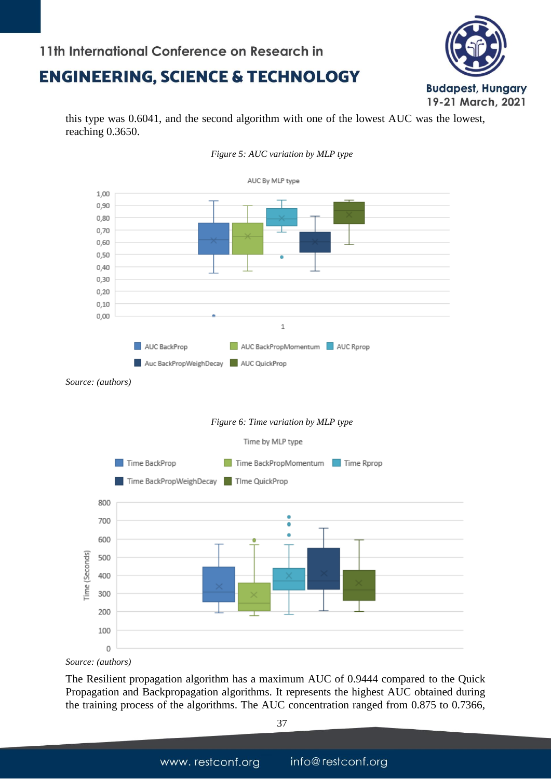### **ENGINEERING, SCIENCE & TECHNOLOGY**



this type was 0.6041, and the second algorithm with one of the lowest AUC was the lowest, reaching 0.3650.



*Figure 5: AUC variation by MLP type*

*Source: (authors)*

The Resilient propagation algorithm has a maximum AUC of 0.9444 compared to the Quick Propagation and Backpropagation algorithms. It represents the highest AUC obtained during the training process of the algorithms. The AUC concentration ranged from 0.875 to 0.7366,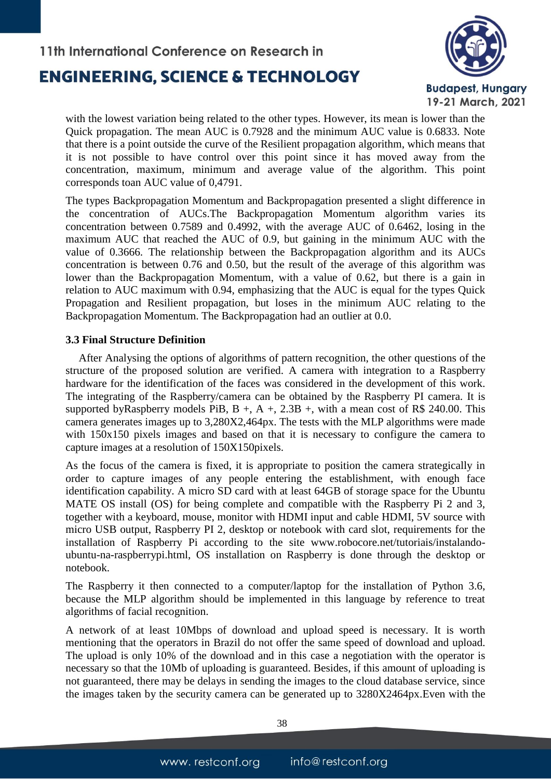### **ENGINEERING, SCIENCE & TECHNOLOGY**



with the lowest variation being related to the other types. However, its mean is lower than the Quick propagation. The mean AUC is 0.7928 and the minimum AUC value is 0.6833. Note that there is a point outside the curve of the Resilient propagation algorithm, which means that it is not possible to have control over this point since it has moved away from the concentration, maximum, minimum and average value of the algorithm. This point corresponds toan AUC value of 0,4791.

The types Backpropagation Momentum and Backpropagation presented a slight difference in the concentration of AUCs.The Backpropagation Momentum algorithm varies its concentration between 0.7589 and 0.4992, with the average AUC of 0.6462, losing in the maximum AUC that reached the AUC of 0.9, but gaining in the minimum AUC with the value of 0.3666. The relationship between the Backpropagation algorithm and its AUCs concentration is between 0.76 and 0.50, but the result of the average of this algorithm was lower than the Backpropagation Momentum, with a value of 0.62, but there is a gain in relation to AUC maximum with 0.94, emphasizing that the AUC is equal for the types Quick Propagation and Resilient propagation, but loses in the minimum AUC relating to the Backpropagation Momentum. The Backpropagation had an outlier at 0.0.

#### **3.3 Final Structure Definition**

After Analysing the options of algorithms of pattern recognition, the other questions of the structure of the proposed solution are verified. A camera with integration to a Raspberry hardware for the identification of the faces was considered in the development of this work. The integrating of the Raspberry/camera can be obtained by the Raspberry PI camera. It is supported byRaspberry models PiB,  $B +$ ,  $A +$ , 2.3B +, with a mean cost of R\$ 240.00. This camera generates images up to 3,280X2,464px. The tests with the MLP algorithms were made with 150x150 pixels images and based on that it is necessary to configure the camera to capture images at a resolution of 150X150pixels.

As the focus of the camera is fixed, it is appropriate to position the camera strategically in order to capture images of any people entering the establishment, with enough face identification capability. A micro SD card with at least 64GB of storage space for the Ubuntu MATE OS install (OS) for being complete and compatible with the Raspberry Pi 2 and 3, together with a keyboard, mouse, monitor with HDMI input and cable HDMI, 5V source with micro USB output, Raspberry PI 2, desktop or notebook with card slot, requirements for the installation of Raspberry Pi according to the site www.robocore.net/tutoriais/instalandoubuntu-na-raspberrypi.html, OS installation on Raspberry is done through the desktop or notebook.

The Raspberry it then connected to a computer/laptop for the installation of Python 3.6, because the MLP algorithm should be implemented in this language by reference to treat algorithms of facial recognition.

A network of at least 10Mbps of download and upload speed is necessary. It is worth mentioning that the operators in Brazil do not offer the same speed of download and upload. The upload is only 10% of the download and in this case a negotiation with the operator is necessary so that the 10Mb of uploading is guaranteed. Besides, if this amount of uploading is not guaranteed, there may be delays in sending the images to the cloud database service, since the images taken by the security camera can be generated up to 3280X2464px.Even with the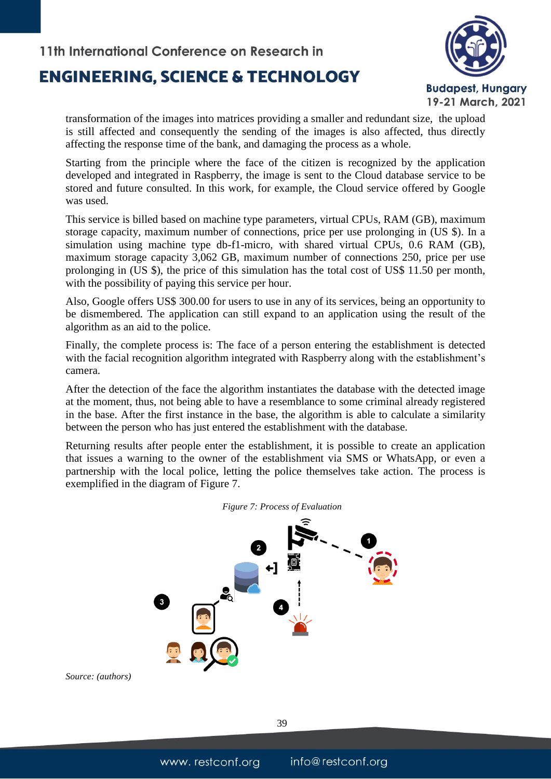## **ENGINEERING, SCIENCE & TECHNOLOGY**



transformation of the images into matrices providing a smaller and redundant size, the upload is still affected and consequently the sending of the images is also affected, thus directly affecting the response time of the bank, and damaging the process as a whole.

Starting from the principle where the face of the citizen is recognized by the application developed and integrated in Raspberry, the image is sent to the Cloud database service to be stored and future consulted. In this work, for example, the Cloud service offered by Google was used.

This service is billed based on machine type parameters, virtual CPUs, RAM (GB), maximum storage capacity, maximum number of connections, price per use prolonging in (US \$). In a simulation using machine type db-f1-micro, with shared virtual CPUs, 0.6 RAM (GB), maximum storage capacity 3,062 GB, maximum number of connections 250, price per use prolonging in (US \$), the price of this simulation has the total cost of US\$ 11.50 per month, with the possibility of paying this service per hour.

Also, Google offers US\$ 300.00 for users to use in any of its services, being an opportunity to be dismembered. The application can still expand to an application using the result of the algorithm as an aid to the police.

Finally, the complete process is: The face of a person entering the establishment is detected with the facial recognition algorithm integrated with Raspberry along with the establishment's camera.

After the detection of the face the algorithm instantiates the database with the detected image at the moment, thus, not being able to have a resemblance to some criminal already registered in the base. After the first instance in the base, the algorithm is able to calculate a similarity between the person who has just entered the establishment with the database.

Returning results after people enter the establishment, it is possible to create an application that issues a warning to the owner of the establishment via SMS or WhatsApp, or even a partnership with the local police, letting the police themselves take action. The process is exemplified in the diagram of Figure 7.





*Source: (authors)*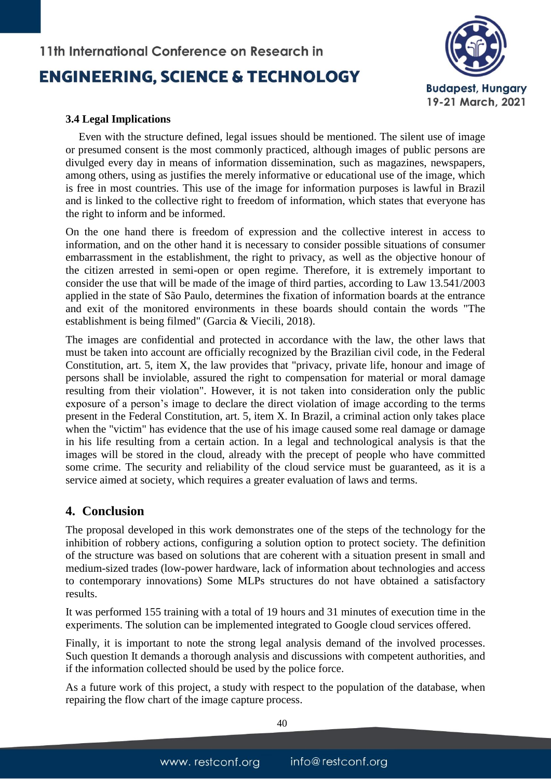

#### **3.4 Legal Implications**

Even with the structure defined, legal issues should be mentioned. The silent use of image or presumed consent is the most commonly practiced, although images of public persons are divulged every day in means of information dissemination, such as magazines, newspapers, among others, using as justifies the merely informative or educational use of the image, which is free in most countries. This use of the image for information purposes is lawful in Brazil and is linked to the collective right to freedom of information, which states that everyone has the right to inform and be informed.

On the one hand there is freedom of expression and the collective interest in access to information, and on the other hand it is necessary to consider possible situations of consumer embarrassment in the establishment, the right to privacy, as well as the objective honour of the citizen arrested in semi-open or open regime. Therefore, it is extremely important to consider the use that will be made of the image of third parties, according to Law 13.541/2003 applied in the state of São Paulo, determines the fixation of information boards at the entrance and exit of the monitored environments in these boards should contain the words "The establishment is being filmed" (Garcia & Viecili, 2018).

The images are confidential and protected in accordance with the law, the other laws that must be taken into account are officially recognized by the Brazilian civil code, in the Federal Constitution, art. 5, item X, the law provides that "privacy, private life, honour and image of persons shall be inviolable, assured the right to compensation for material or moral damage resulting from their violation". However, it is not taken into consideration only the public exposure of a person's image to declare the direct violation of image according to the terms present in the Federal Constitution, art. 5, item X. In Brazil, a criminal action only takes place when the "victim" has evidence that the use of his image caused some real damage or damage in his life resulting from a certain action. In a legal and technological analysis is that the images will be stored in the cloud, already with the precept of people who have committed some crime. The security and reliability of the cloud service must be guaranteed, as it is a service aimed at society, which requires a greater evaluation of laws and terms.

### **4. Conclusion**

The proposal developed in this work demonstrates one of the steps of the technology for the inhibition of robbery actions, configuring a solution option to protect society. The definition of the structure was based on solutions that are coherent with a situation present in small and medium-sized trades (low-power hardware, lack of information about technologies and access to contemporary innovations) Some MLPs structures do not have obtained a satisfactory results.

It was performed 155 training with a total of 19 hours and 31 minutes of execution time in the experiments. The solution can be implemented integrated to Google cloud services offered.

Finally, it is important to note the strong legal analysis demand of the involved processes. Such question It demands a thorough analysis and discussions with competent authorities, and if the information collected should be used by the police force.

As a future work of this project, a study with respect to the population of the database, when repairing the flow chart of the image capture process.